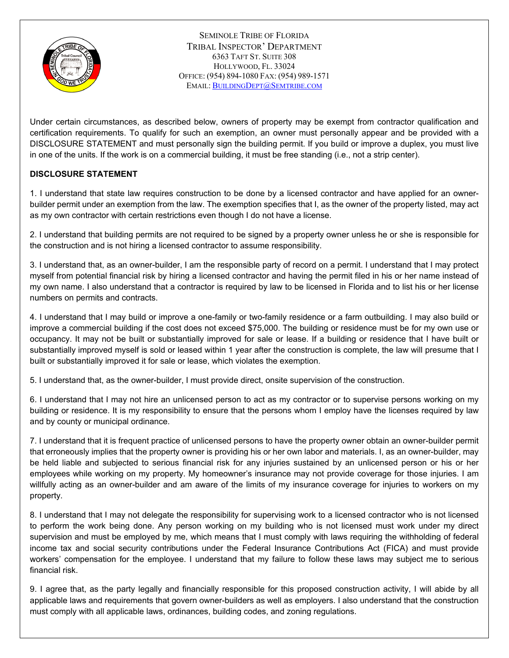

SEMINOLE TRIBE OF FLORIDA TRIBAL INSPECTOR' DEPARTMENT 6363 TAFT ST. SUITE 308 HOLLYWOOD, FL. 33024 OFFICE: (954) 894-1080 FAX: (954) 989-1571 EMAIL: [BUILDINGDEPT@SEMTRIBE.COM](mailto:BuildingDept@Semtribe.com)

Under certain circumstances, as described below, owners of property may be exempt from contractor qualification and certification requirements. To qualify for such an exemption, an owner must personally appear and be provided with a DISCLOSURE STATEMENT and must personally sign the building permit. If you build or improve a duplex, you must live in one of the units. If the work is on a commercial building, it must be free standing (i.e., not a strip center).

## **DISCLOSURE STATEMENT**

1. I understand that state law requires construction to be done by a licensed contractor and have applied for an ownerbuilder permit under an exemption from the law. The exemption specifies that I, as the owner of the property listed, may act as my own contractor with certain restrictions even though I do not have a license.

2. I understand that building permits are not required to be signed by a property owner unless he or she is responsible for the construction and is not hiring a licensed contractor to assume responsibility.

3. I understand that, as an owner-builder, I am the responsible party of record on a permit. I understand that I may protect myself from potential financial risk by hiring a licensed contractor and having the permit filed in his or her name instead of my own name. I also understand that a contractor is required by law to be licensed in Florida and to list his or her license numbers on permits and contracts.

4. I understand that I may build or improve a one-family or two-family residence or a farm outbuilding. I may also build or improve a commercial building if the cost does not exceed \$75,000. The building or residence must be for my own use or occupancy. It may not be built or substantially improved for sale or lease. If a building or residence that I have built or substantially improved myself is sold or leased within 1 year after the construction is complete, the law will presume that I built or substantially improved it for sale or lease, which violates the exemption.

5. I understand that, as the owner-builder, I must provide direct, onsite supervision of the construction.

6. I understand that I may not hire an unlicensed person to act as my contractor or to supervise persons working on my building or residence. It is my responsibility to ensure that the persons whom I employ have the licenses required by law and by county or municipal ordinance.

7. I understand that it is frequent practice of unlicensed persons to have the property owner obtain an owner-builder permit that erroneously implies that the property owner is providing his or her own labor and materials. I, as an owner-builder, may be held liable and subjected to serious financial risk for any injuries sustained by an unlicensed person or his or her employees while working on my property. My homeowner's insurance may not provide coverage for those injuries. I am willfully acting as an owner-builder and am aware of the limits of my insurance coverage for injuries to workers on my property.

8. I understand that I may not delegate the responsibility for supervising work to a licensed contractor who is not licensed to perform the work being done. Any person working on my building who is not licensed must work under my direct supervision and must be employed by me, which means that I must comply with laws requiring the withholding of federal income tax and social security contributions under the Federal Insurance Contributions Act (FICA) and must provide workers' compensation for the employee. I understand that my failure to follow these laws may subject me to serious financial risk.

9. I agree that, as the party legally and financially responsible for this proposed construction activity, I will abide by all applicable laws and requirements that govern owner-builders as well as employers. I also understand that the construction must comply with all applicable laws, ordinances, building codes, and zoning regulations.